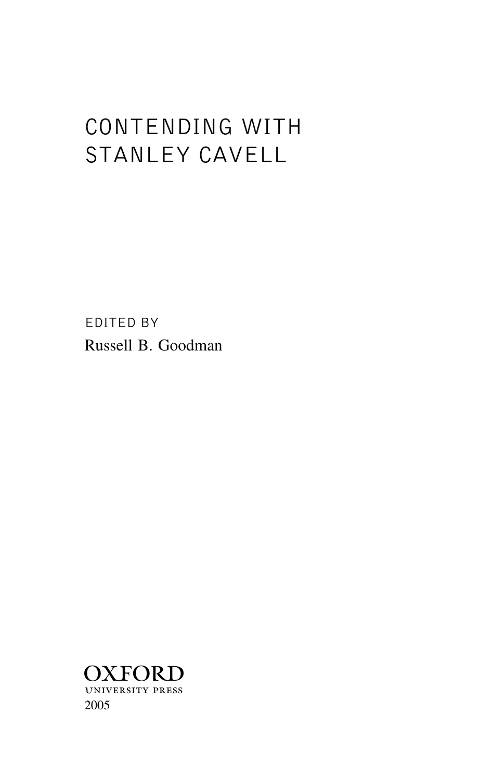## CONTENDING WITH STANLEY CAVELL

EDITED BY Russell B. Goodman

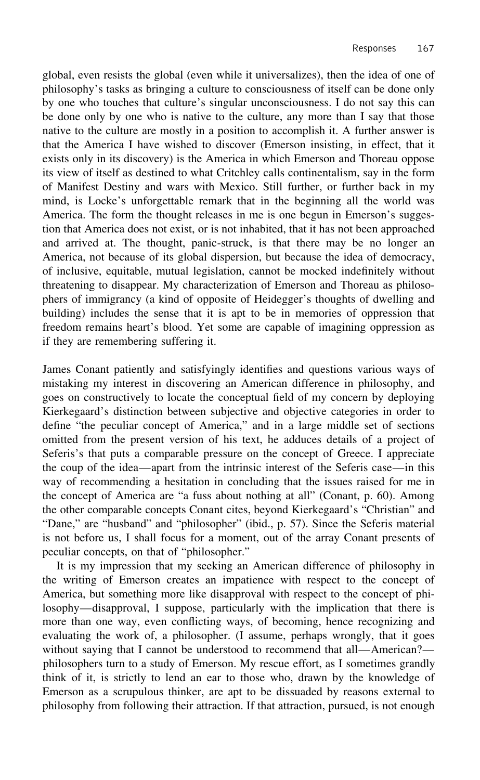global, even resists the global (even while it universalizes), then the idea of one of philosophy's tasks as bringing a culture to consciousness of itself can be done only by one who touches that culture's singular unconsciousness. I do not say this can be done only by one who is native to the culture, any more than I say that those native to the culture are mostly in a position to accomplish it. A further answer is that the America I have wished to discover (Emerson insisting, in effect, that it exists only in its discovery) is the America in which Emerson and Thoreau oppose its view of itself as destined to what Critchley calls continentalism, say in the form of Manifest Destiny and wars with Mexico. Still further, or further back in my mind, is Locke's unforgettable remark that in the beginning all the world was America. The form the thought releases in me is one begun in Emerson's suggestion that America does not exist, or is not inhabited, that it has not been approached and arrived at. The thought, panic-struck, is that there may be no longer an America, not because of its global dispersion, but because the idea of democracy, of inclusive, equitable, mutual legislation, cannot be mocked indefinitely without threatening to disappear. My characterization of Emerson and Thoreau as philosophers of immigrancy (a kind of opposite of Heidegger's thoughts of dwelling and building) includes the sense that it is apt to be in memories of oppression that freedom remains heart's blood. Yet some are capable of imagining oppression as if they are remembering suffering it.

James Conant patiently and satisfyingly identifies and questions various ways of mistaking my interest in discovering an American difference in philosophy, and goes on constructively to locate the conceptual field of my concern by deploying Kierkegaard's distinction between subjective and objective categories in order to define "the peculiar concept of America," and in a large middle set of sections omitted from the present version of his text, he adduces details of a project of Seferis's that puts a comparable pressure on the concept of Greece. I appreciate the coup of the idea—apart from the intrinsic interest of the Seferis case—in this way of recommending a hesitation in concluding that the issues raised for me in the concept of America are "a fuss about nothing at all" (Conant, p. 60). Among the other comparable concepts Conant cites, beyond Kierkegaard's "Christian" and "Dane," are "husband" and "philosopher" (ibid., p. 57). Since the Seferis material is not before us, I shall focus for a moment, out of the array Conant presents of peculiar concepts, on that of "philosopher."

It is my impression that my seeking an American difference of philosophy in the writing of Emerson creates an impatience with respect to the concept of America, but something more like disapproval with respect to the concept of philosophy—disapproval, I suppose, particularly with the implication that there is more than one way, even conflicting ways, of becoming, hence recognizing and evaluating the work of, a philosopher. (I assume, perhaps wrongly, that it goes without saying that I cannot be understood to recommend that all—American? philosophers turn to a study of Emerson. My rescue effort, as I sometimes grandly think of it, is strictly to lend an ear to those who, drawn by the knowledge of Emerson as a scrupulous thinker, are apt to be dissuaded by reasons external to philosophy from following their attraction. If that attraction, pursued, is not enough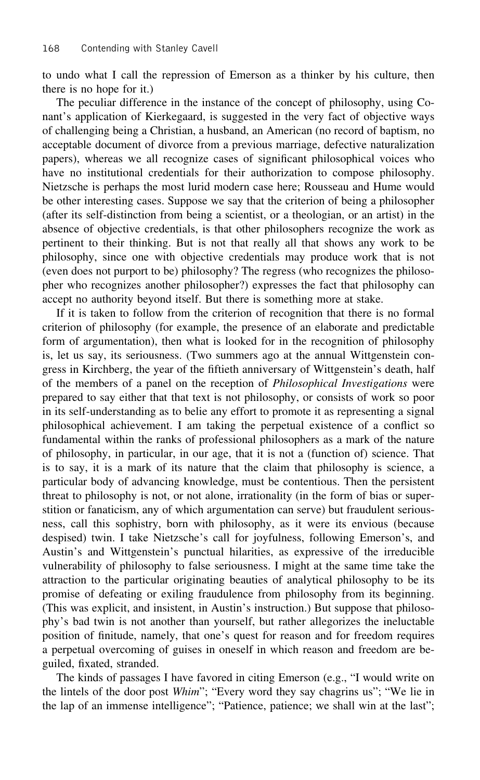to undo what I call the repression of Emerson as a thinker by his culture, then there is no hope for it.)

The peculiar difference in the instance of the concept of philosophy, using Conant's application of Kierkegaard, is suggested in the very fact of objective ways of challenging being a Christian, a husband, an American (no record of baptism, no acceptable document of divorce from a previous marriage, defective naturalization papers), whereas we all recognize cases of significant philosophical voices who have no institutional credentials for their authorization to compose philosophy. Nietzsche is perhaps the most lurid modern case here; Rousseau and Hume would be other interesting cases. Suppose we say that the criterion of being a philosopher (after its self-distinction from being a scientist, or a theologian, or an artist) in the absence of objective credentials, is that other philosophers recognize the work as pertinent to their thinking. But is not that really all that shows any work to be philosophy, since one with objective credentials may produce work that is not (even does not purport to be) philosophy? The regress (who recognizes the philosopher who recognizes another philosopher?) expresses the fact that philosophy can accept no authority beyond itself. But there is something more at stake.

If it is taken to follow from the criterion of recognition that there is no formal criterion of philosophy (for example, the presence of an elaborate and predictable form of argumentation), then what is looked for in the recognition of philosophy is, let us say, its seriousness. (Two summers ago at the annual Wittgenstein congress in Kirchberg, the year of the fiftieth anniversary of Wittgenstein's death, half of the members of a panel on the reception of *Philosophical Investigations* were prepared to say either that that text is not philosophy, or consists of work so poor in its self-understanding as to belie any effort to promote it as representing a signal philosophical achievement. I am taking the perpetual existence of a conflict so fundamental within the ranks of professional philosophers as a mark of the nature of philosophy, in particular, in our age, that it is not a (function of) science. That is to say, it is a mark of its nature that the claim that philosophy is science, a particular body of advancing knowledge, must be contentious. Then the persistent threat to philosophy is not, or not alone, irrationality (in the form of bias or superstition or fanaticism, any of which argumentation can serve) but fraudulent seriousness, call this sophistry, born with philosophy, as it were its envious (because despised) twin. I take Nietzsche's call for joyfulness, following Emerson's, and Austin's and Wittgenstein's punctual hilarities, as expressive of the irreducible vulnerability of philosophy to false seriousness. I might at the same time take the attraction to the particular originating beauties of analytical philosophy to be its promise of defeating or exiling fraudulence from philosophy from its beginning. (This was explicit, and insistent, in Austin's instruction.) But suppose that philosophy's bad twin is not another than yourself, but rather allegorizes the ineluctable position of finitude, namely, that one's quest for reason and for freedom requires a perpetual overcoming of guises in oneself in which reason and freedom are beguiled, fixated, stranded.

The kinds of passages I have favored in citing Emerson (e.g., "I would write on the lintels of the door post *Whim*"; "Every word they say chagrins us"; "We lie in the lap of an immense intelligence"; "Patience, patience; we shall win at the last";